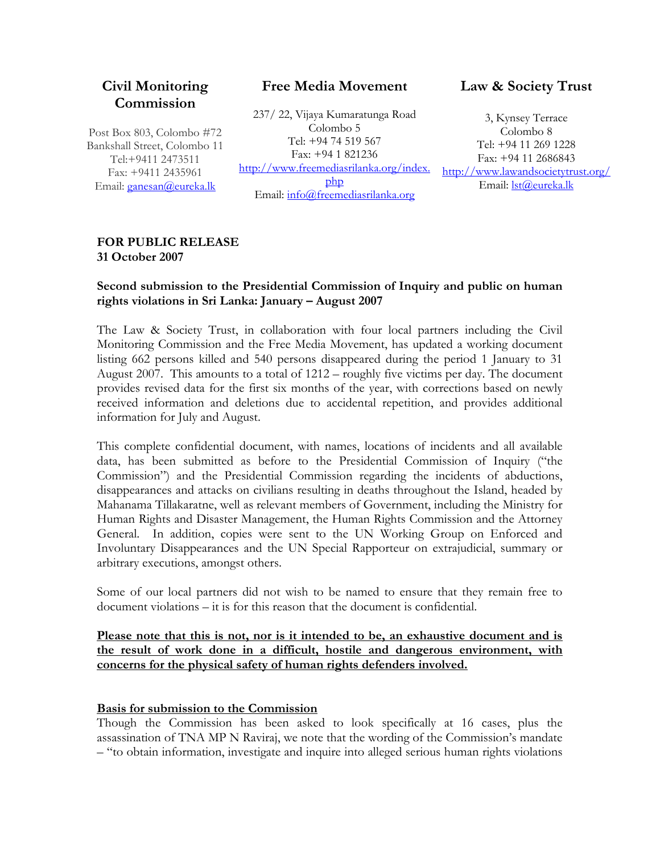## **Civil Monitoring Commission**

Post Box 803, Colombo #72 Bankshall Street, Colombo 11 Tel:+9411 2473511 Fax: +9411 2435961 Email: ganesan@eureka.lk

### **Free Media Movement**

237/ 22, Vijaya Kumaratunga Road Colombo 5 Tel: +94 74 519 567 Fax: +94 1 821236 http://www.freemediasrilanka.org/index. php Email: info@freemediasrilanka.org

## **Law & Society Trust**

3, Kynsey Terrace Colombo 8 Tel: +94 11 269 1228 Fax: +94 11 2686843 http://www.lawandsocietytrust.org/ Email: lst@eureka.lk

#### **FOR PUBLIC RELEASE 31 October 2007**

#### **Second submission to the Presidential Commission of Inquiry and public on human rights violations in Sri Lanka: January – August 2007**

The Law & Society Trust, in collaboration with four local partners including the Civil Monitoring Commission and the Free Media Movement, has updated a working document listing 662 persons killed and 540 persons disappeared during the period 1 January to 31 August 2007. This amounts to a total of 1212 – roughly five victims per day. The document provides revised data for the first six months of the year, with corrections based on newly received information and deletions due to accidental repetition, and provides additional information for July and August.

This complete confidential document, with names, locations of incidents and all available data, has been submitted as before to the Presidential Commission of Inquiry ("the Commission") and the Presidential Commission regarding the incidents of abductions, disappearances and attacks on civilians resulting in deaths throughout the Island, headed by Mahanama Tillakaratne, well as relevant members of Government, including the Ministry for Human Rights and Disaster Management, the Human Rights Commission and the Attorney General. In addition, copies were sent to the UN Working Group on Enforced and Involuntary Disappearances and the UN Special Rapporteur on extrajudicial, summary or arbitrary executions, amongst others.

Some of our local partners did not wish to be named to ensure that they remain free to document violations – it is for this reason that the document is confidential.

**Please note that this is not, nor is it intended to be, an exhaustive document and is the result of work done in a difficult, hostile and dangerous environment, with concerns for the physical safety of human rights defenders involved.** 

#### **Basis for submission to the Commission**

Though the Commission has been asked to look specifically at 16 cases, plus the assassination of TNA MP N Raviraj, we note that the wording of the Commission's mandate – "to obtain information, investigate and inquire into alleged serious human rights violations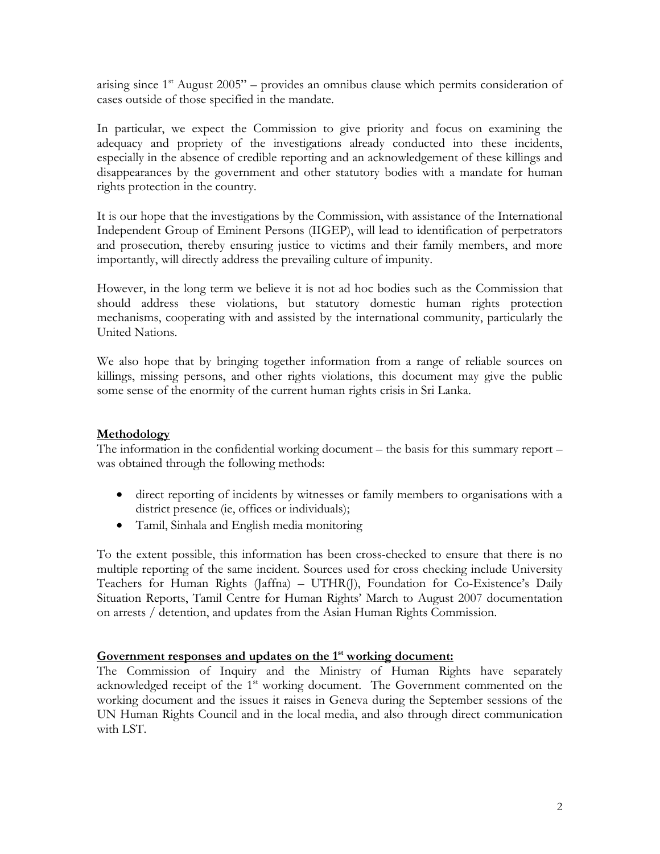arising since  $1<sup>st</sup>$  August 2005" – provides an omnibus clause which permits consideration of cases outside of those specified in the mandate.

In particular, we expect the Commission to give priority and focus on examining the adequacy and propriety of the investigations already conducted into these incidents, especially in the absence of credible reporting and an acknowledgement of these killings and disappearances by the government and other statutory bodies with a mandate for human rights protection in the country.

It is our hope that the investigations by the Commission, with assistance of the International Independent Group of Eminent Persons (IIGEP), will lead to identification of perpetrators and prosecution, thereby ensuring justice to victims and their family members, and more importantly, will directly address the prevailing culture of impunity.

However, in the long term we believe it is not ad hoc bodies such as the Commission that should address these violations, but statutory domestic human rights protection mechanisms, cooperating with and assisted by the international community, particularly the United Nations.

We also hope that by bringing together information from a range of reliable sources on killings, missing persons, and other rights violations, this document may give the public some sense of the enormity of the current human rights crisis in Sri Lanka.

#### **Methodology**

The information in the confidential working document – the basis for this summary report – was obtained through the following methods:

- direct reporting of incidents by witnesses or family members to organisations with a district presence (ie, offices or individuals);
- Tamil, Sinhala and English media monitoring

To the extent possible, this information has been cross-checked to ensure that there is no multiple reporting of the same incident. Sources used for cross checking include University Teachers for Human Rights (Jaffna) – UTHR(J), Foundation for Co-Existence's Daily Situation Reports, Tamil Centre for Human Rights' March to August 2007 documentation on arrests / detention, and updates from the Asian Human Rights Commission.

#### Government responses and updates on the 1<sup>st</sup> working document:

The Commission of Inquiry and the Ministry of Human Rights have separately acknowledged receipt of the 1<sup>st</sup> working document. The Government commented on the working document and the issues it raises in Geneva during the September sessions of the UN Human Rights Council and in the local media, and also through direct communication with LST.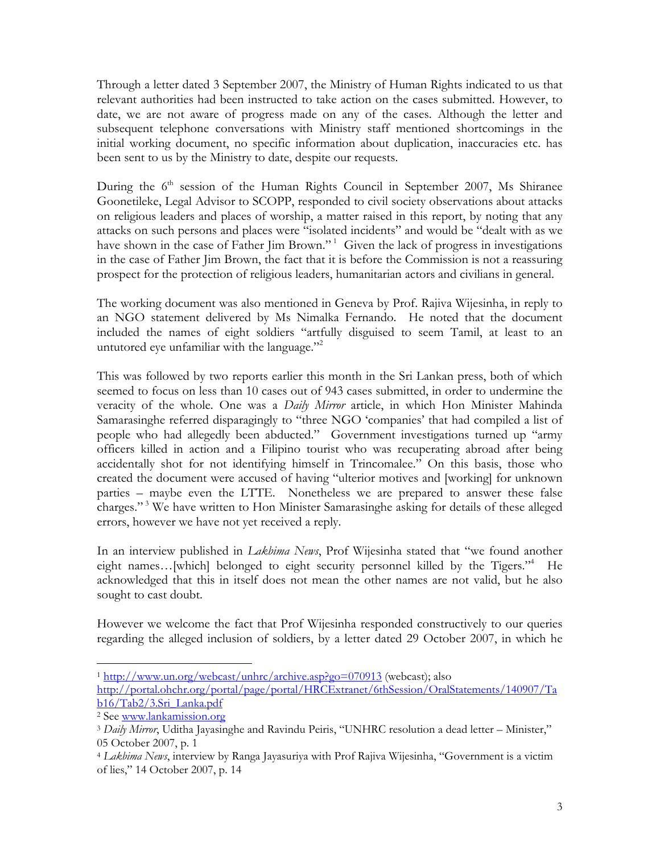Through a letter dated 3 September 2007, the Ministry of Human Rights indicated to us that relevant authorities had been instructed to take action on the cases submitted. However, to date, we are not aware of progress made on any of the cases. Although the letter and subsequent telephone conversations with Ministry staff mentioned shortcomings in the initial working document, no specific information about duplication, inaccuracies etc. has been sent to us by the Ministry to date, despite our requests.

During the  $6<sup>th</sup>$  session of the Human Rights Council in September 2007, Ms Shiranee Goonetileke, Legal Advisor to SCOPP, responded to civil society observations about attacks on religious leaders and places of worship, a matter raised in this report, by noting that any attacks on such persons and places were "isolated incidents" and would be "dealt with as we have shown in the case of Father Jim Brown."<sup>1</sup> Given the lack of progress in investigations in the case of Father Jim Brown, the fact that it is before the Commission is not a reassuring prospect for the protection of religious leaders, humanitarian actors and civilians in general.

The working document was also mentioned in Geneva by Prof. Rajiva Wijesinha, in reply to an NGO statement delivered by Ms Nimalka Fernando. He noted that the document included the names of eight soldiers "artfully disguised to seem Tamil, at least to an untutored eye unfamiliar with the language. $^{22}$ 

This was followed by two reports earlier this month in the Sri Lankan press, both of which seemed to focus on less than 10 cases out of 943 cases submitted, in order to undermine the veracity of the whole. One was a *Daily Mirror* article, in which Hon Minister Mahinda Samarasinghe referred disparagingly to "three NGO 'companies' that had compiled a list of people who had allegedly been abducted." Government investigations turned up "army officers killed in action and a Filipino tourist who was recuperating abroad after being accidentally shot for not identifying himself in Trincomalee." On this basis, those who created the document were accused of having "ulterior motives and [working] for unknown parties – maybe even the LTTE. Nonetheless we are prepared to answer these false charges."<sup>3</sup> We have written to Hon Minister Samarasinghe asking for details of these alleged errors, however we have not yet received a reply.

In an interview published in *Lakbima News*, Prof Wijesinha stated that "we found another eight names...[which] belonged to eight security personnel killed by the Tigers."<sup>4</sup> He acknowledged that this in itself does not mean the other names are not valid, but he also sought to cast doubt.

However we welcome the fact that Prof Wijesinha responded constructively to our queries regarding the alleged inclusion of soldiers, by a letter dated 29 October 2007, in which he

<sup>1</sup> http://www.un.org/webcast/unhrc/archive.asp?go=070913 (webcast); also

 $\overline{a}$ 

http://portal.ohchr.org/portal/page/portal/HRCExtranet/6thSession/OralStatements/140907/Ta b16/Tab2/3.Sri\_Lanka.pdf 2 See www.lankamission.org 3 *Daily Mirror*, Uditha Jayasinghe and Ravindu Peiris, "UNHRC resolution a dead letter – Minister,"

<sup>05</sup> October 2007, p. 1

<sup>4</sup> *Lakbima News*, interview by Ranga Jayasuriya with Prof Rajiva Wijesinha, "Government is a victim of lies," 14 October 2007, p. 14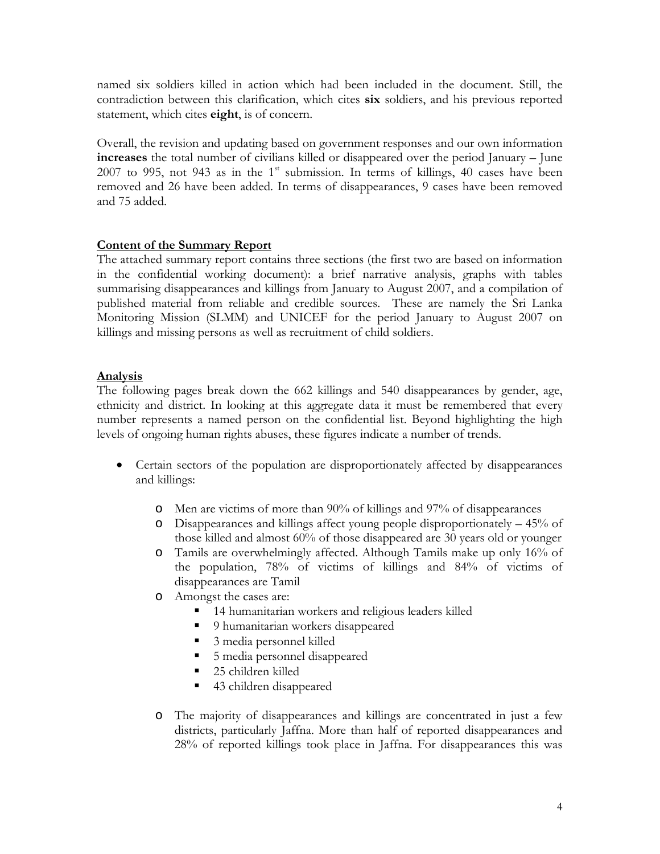named six soldiers killed in action which had been included in the document. Still, the contradiction between this clarification, which cites **six** soldiers, and his previous reported statement, which cites **eight**, is of concern.

Overall, the revision and updating based on government responses and our own information **increases** the total number of civilians killed or disappeared over the period January – June 2007 to 995, not 943 as in the  $1<sup>st</sup>$  submission. In terms of killings, 40 cases have been removed and 26 have been added. In terms of disappearances, 9 cases have been removed and 75 added.

#### **Content of the Summary Report**

The attached summary report contains three sections (the first two are based on information in the confidential working document): a brief narrative analysis, graphs with tables summarising disappearances and killings from January to August 2007, and a compilation of published material from reliable and credible sources. These are namely the Sri Lanka Monitoring Mission (SLMM) and UNICEF for the period January to August 2007 on killings and missing persons as well as recruitment of child soldiers.

#### **Analysis**

The following pages break down the 662 killings and 540 disappearances by gender, age, ethnicity and district. In looking at this aggregate data it must be remembered that every number represents a named person on the confidential list. Beyond highlighting the high levels of ongoing human rights abuses, these figures indicate a number of trends.

- Certain sectors of the population are disproportionately affected by disappearances and killings:
	- o Men are victims of more than 90% of killings and 97% of disappearances
	- o Disappearances and killings affect young people disproportionately 45% of those killed and almost 60% of those disappeared are 30 years old or younger
	- o Tamils are overwhelmingly affected. Although Tamils make up only 16% of the population, 78% of victims of killings and 84% of victims of disappearances are Tamil
	- o Amongst the cases are:
		- 14 humanitarian workers and religious leaders killed
		- 9 humanitarian workers disappeared
		- 3 media personnel killed
		- 5 media personnel disappeared
		- 25 children killed
		- 43 children disappeared
	- o The majority of disappearances and killings are concentrated in just a few districts, particularly Jaffna. More than half of reported disappearances and 28% of reported killings took place in Jaffna. For disappearances this was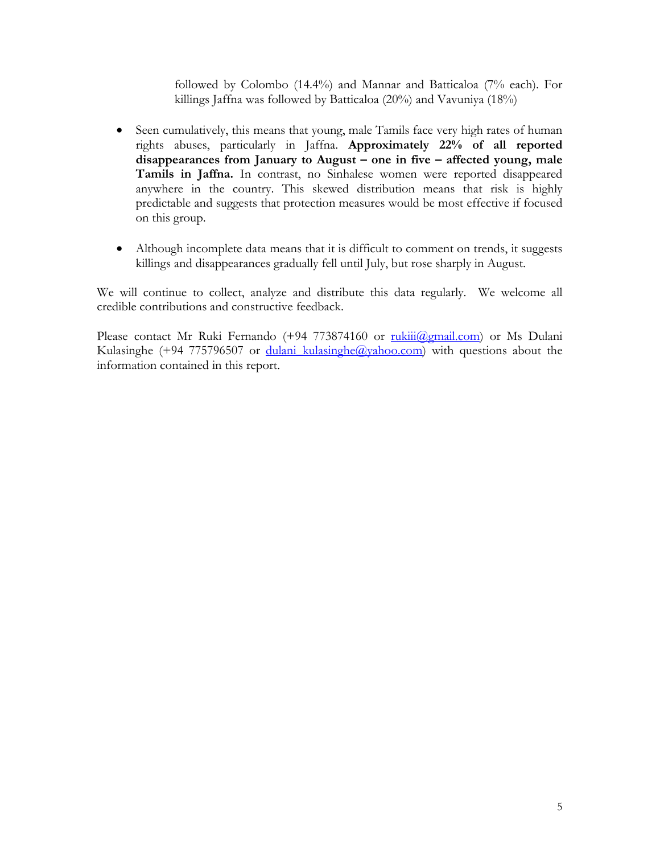followed by Colombo (14.4%) and Mannar and Batticaloa (7% each). For killings Jaffna was followed by Batticaloa (20%) and Vavuniya (18%)

- Seen cumulatively, this means that young, male Tamils face very high rates of human rights abuses, particularly in Jaffna. **Approximately 22% of all reported disappearances from January to August – one in five – affected young, male Tamils in Jaffna.** In contrast, no Sinhalese women were reported disappeared anywhere in the country. This skewed distribution means that risk is highly predictable and suggests that protection measures would be most effective if focused on this group.
- Although incomplete data means that it is difficult to comment on trends, it suggests killings and disappearances gradually fell until July, but rose sharply in August.

We will continue to collect, analyze and distribute this data regularly. We welcome all credible contributions and constructive feedback.

Please contact Mr Ruki Fernando (+94 773874160 or  $\frac{\text{rukiii}(\hat{a})\text{g}[\text{mail.com}]}{(\hat{a})}$  or Ms Dulani Kulasinghe (+94 775796507 or dulani kulasinghe@yahoo.com) with questions about the information contained in this report.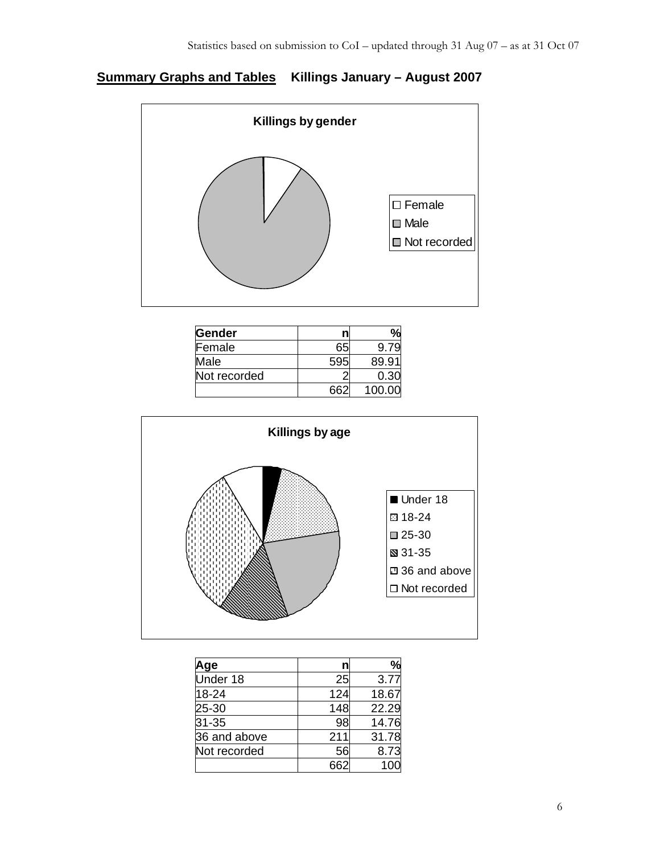# **Summary Graphs and Tables Killings January – August 2007**



| Gender       | n |        |
|--------------|---|--------|
| Female       |   |        |
| Male         |   | 89.91  |
| Not recorded |   | 0.30   |
|              |   | 100.00 |



| Aqe          |     |       |
|--------------|-----|-------|
| Under 18     | 25  | 3.77  |
| 18-24        | 124 | 18.67 |
| 25-30        | 148 | 22.29 |
| 31-35        | 98  | 14.76 |
| 36 and above | 211 | 31.78 |
| Not recorded | 56  | 8.73  |
|              |     |       |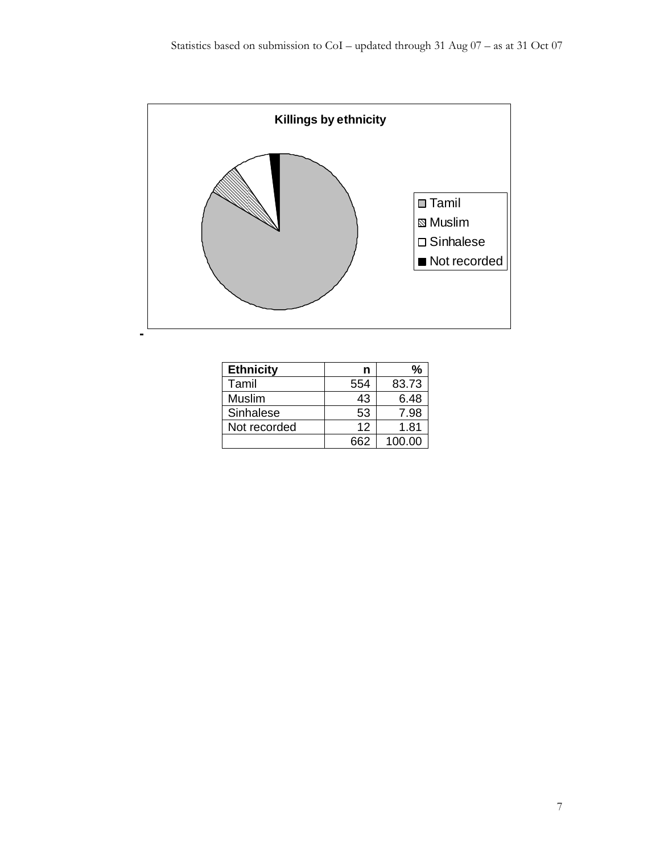

| <b>Ethnicity</b> | n   | %      |
|------------------|-----|--------|
| Tamil            | 554 | 83.73  |
| Muslim           | 43  | 6.48   |
| Sinhalese        | 53  | 7.98   |
| Not recorded     | 12  | 1.81   |
|                  | 662 | 100.00 |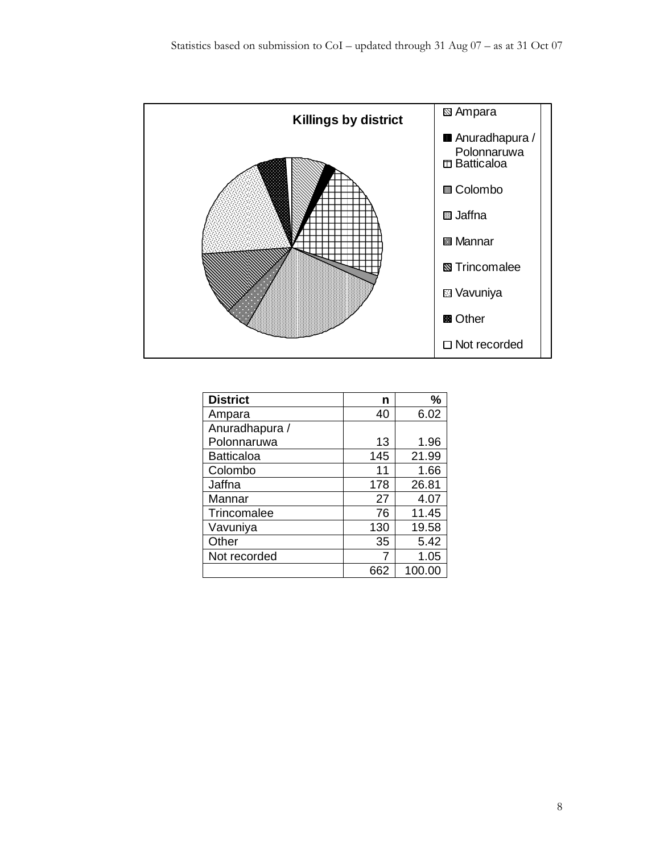

| <b>District</b>   | n   | %      |
|-------------------|-----|--------|
| Ampara            | 40  | 6.02   |
| Anuradhapura /    |     |        |
| Polonnaruwa       | 13  | 1.96   |
| <b>Batticaloa</b> | 145 | 21.99  |
| Colombo           | 11  | 1.66   |
| Jaffna            | 178 | 26.81  |
| Mannar            | 27  | 4.07   |
| Trincomalee       | 76  | 11.45  |
| Vavuniya          | 130 | 19.58  |
| Other             | 35  | 5.42   |
| Not recorded      | 7   | 1.05   |
|                   | 662 | 100.00 |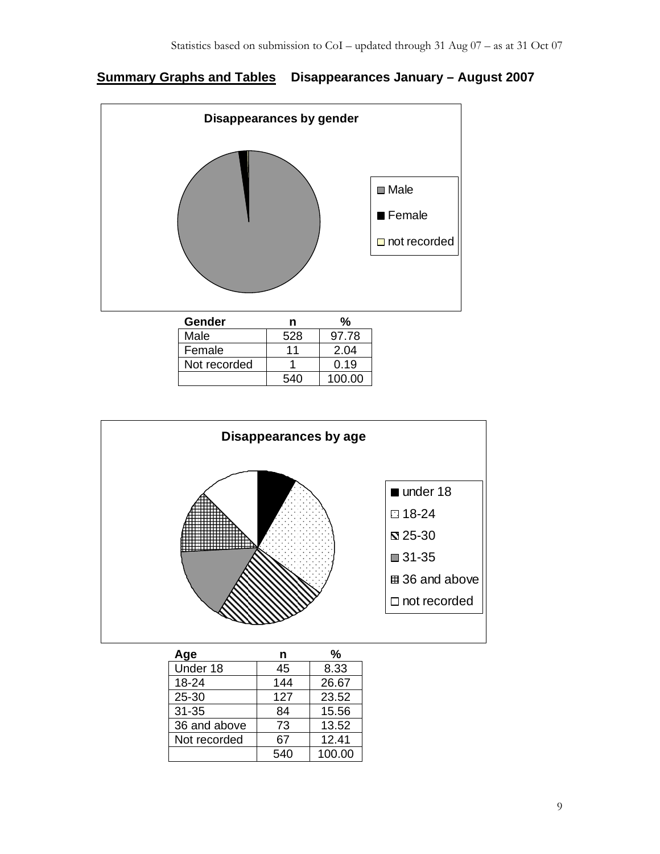## **Summary Graphs and Tables Disappearances January – August 2007**



| Gender       | n   |        |
|--------------|-----|--------|
| Male         | 528 | 97.78  |
| Female       | 11  | 2.04   |
| Not recorded |     | 0.19   |
|              | 540 | 100.00 |



| Age          | n   | %      |
|--------------|-----|--------|
| Under 18     | 45  | 8.33   |
| 18-24        | 144 | 26.67  |
| 25-30        | 127 | 23.52  |
| $31 - 35$    | 84  | 15.56  |
| 36 and above | 73  | 13.52  |
| Not recorded | 67  | 12.41  |
|              | 540 | 100.00 |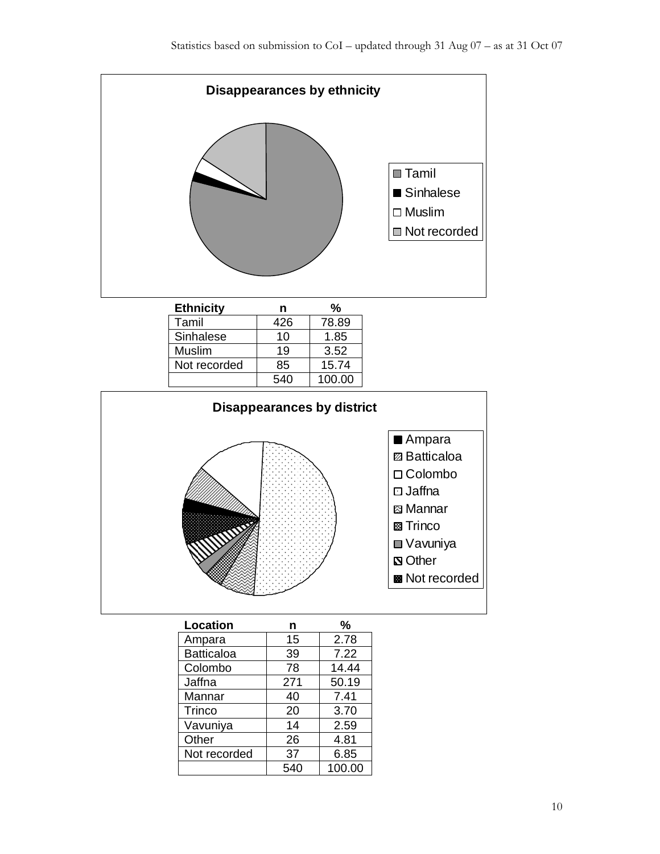



| Location          | n   | %      |
|-------------------|-----|--------|
| Ampara            | 15  | 2.78   |
| <b>Batticaloa</b> | 39  | 7.22   |
| Colombo           | 78  | 14.44  |
| Jaffna            | 271 | 50.19  |
| Mannar            | 40  | 7.41   |
| <b>Trinco</b>     | 20  | 3.70   |
| Vavuniya          | 14  | 2.59   |
| Other             | 26  | 4.81   |
| Not recorded      | 37  | 6.85   |
|                   | 540 | 100.00 |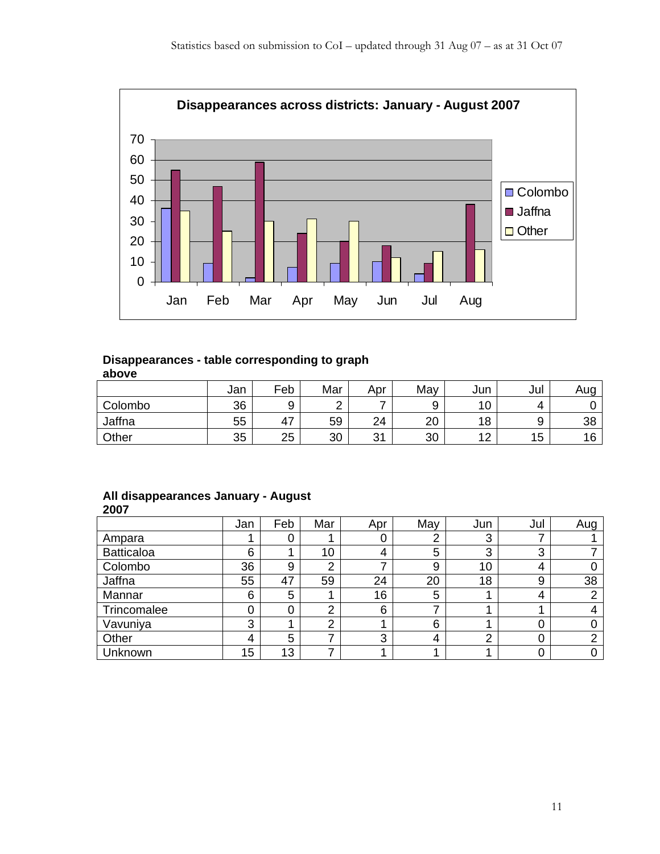

#### **Disappearances - table corresponding to graph above**

|         | Jan | Feb | Mar | Apr       | May      | Jun | Jul | Aug |
|---------|-----|-----|-----|-----------|----------|-----|-----|-----|
| Colombo | 36  | 9   |     | -         | ີ<br>ັ   | 10  | Δ   |     |
| Jaffna  | 55  | 47  | 59  | 24        | nn<br>∠∪ | 18  | a   | 38  |
| Other   | 35  | 25  | 30  | 21<br>ູບ. | 30       | 10  | 15  | 16  |

#### **All disappearances January - August 2007**

|                   | Jan | Feb | Mar | Apr | May | Jun | Jul | Aug |
|-------------------|-----|-----|-----|-----|-----|-----|-----|-----|
| Ampara            |     | 0   |     | 0   |     | 3   |     |     |
| <b>Batticaloa</b> | 6   |     | 10  | 4   | 5   | 3   | 3   |     |
| Colombo           | 36  | 9   | 2   | ⇁   | 9   | 10  | 4   |     |
| Jaffna            | 55  | 47  | 59  | 24  | 20  | 18  | 9   | 38  |
| Mannar            | 6   | 5   |     | 16  | 5   |     | 4   |     |
| Trincomalee       | 0   | 0   | 2   | 6   |     |     |     |     |
| Vavuniya          | 3   |     | ⌒   |     | 6   |     | 0   |     |
| Other             | 4   | 5   |     | 3   | 4   | ⌒   | 0   | ⌒   |
| Unknown           | 15  | 13  |     |     |     |     | 0   |     |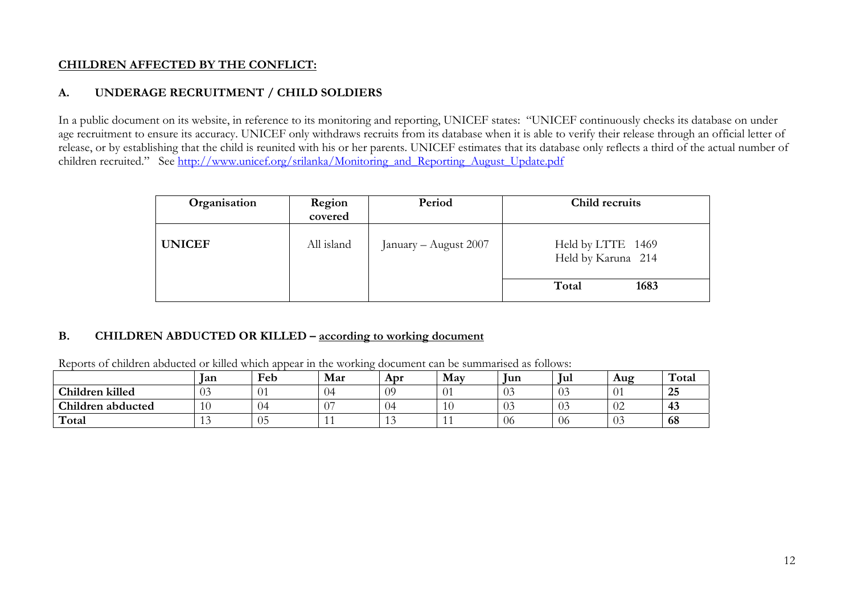### **CHILDREN AFFECTED BY THE CONFLICT:**

### **A. UNDERAGE RECRUITMENT / CHILD SOLDIERS**

In a public document on its website, in reference to its monitoring and reporting, UNICEF states: "UNICEF continuously checks its database on under age recruitment to ensure its accuracy. UNICEF only withdraws recruits from its database when it is able to verify their release through an official letter of release, or by establishing that the child is reunited with his or her parents. UNICEF estimates that its database only reflects a third of the actual number of children recruited." See http://www.unicef.org/srilanka/Monitoring\_and\_Reporting\_August\_Update.pdf

| Organisation  | Region<br>covered | Period                | Child recruits                          |
|---------------|-------------------|-----------------------|-----------------------------------------|
| <b>UNICEF</b> | All island        | January - August 2007 | Held by LTTE 1469<br>Held by Karuna 214 |
|               |                   |                       | Total<br>1683                           |

#### **B. CHILDREN ABDUCTED OR KILLED – according to working document**

|                   | <b>lan</b>  | Feb              | Mar    | Apr | May               | Jun | <b>Jul</b> | Aug | Total                |
|-------------------|-------------|------------------|--------|-----|-------------------|-----|------------|-----|----------------------|
| Children killed   | 03          | $\bigcap$<br>v 1 | 04     | 09  | V 1               | 03  | 03         | -01 | $\sim$ $\sim$<br>ن ک |
| Children abducted | 10          | 04               | $\sim$ | 04  | $\sqrt{ }$<br>1 U | 03  | 03         | 02  | ᠇ၪ                   |
| Total             | <b>L</b> .J | 05               | . .    |     | . .               | 06  | 06         | 03  | 68                   |

Reports of children abducted or killed which appear in the working document can be summarised as follows: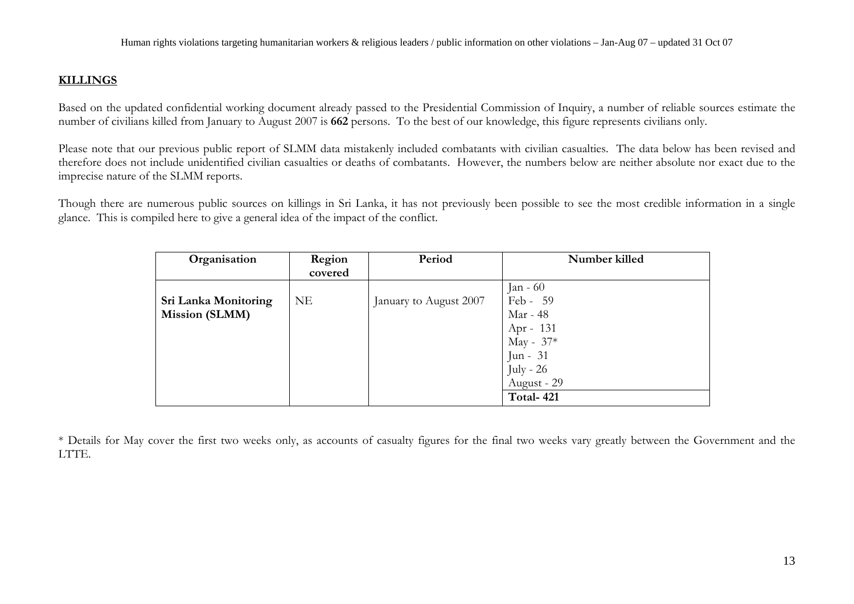### **KILLINGS**

Based on the updated confidential working document already passed to the Presidential Commission of Inquiry, a number of reliable sources estimate the number of civilians killed from January to August 2007 is **662** persons. To the best of our knowledge, this figure represents civilians only.

Please note that our previous public report of SLMM data mistakenly included combatants with civilian casualties. The data below has been revised and therefore does not include unidentified civilian casualties or deaths of combatants. However, the numbers below are neither absolute nor exact due to the imprecise nature of the SLMM reports.

Though there are numerous public sources on killings in Sri Lanka, it has not previously been possible to see the most credible information in a single glance. This is compiled here to give a general idea of the impact of the conflict.

| Organisation          | Region    | Period                 | Number killed |
|-----------------------|-----------|------------------------|---------------|
|                       | covered   |                        |               |
|                       |           |                        | Jan - $60$    |
| Sri Lanka Monitoring  | <b>NE</b> | January to August 2007 | Feb - 59      |
| <b>Mission (SLMM)</b> |           |                        | Mar - 48      |
|                       |           |                        | Apr - $131$   |
|                       |           |                        | May - $37*$   |
|                       |           |                        | Jun - $31$    |
|                       |           |                        | $July - 26$   |
|                       |           |                        | August - 29   |
|                       |           |                        | Total-421     |

\* Details for May cover the first two weeks only, as accounts of casualty figures for the final two weeks vary greatly between the Government and the LTTE.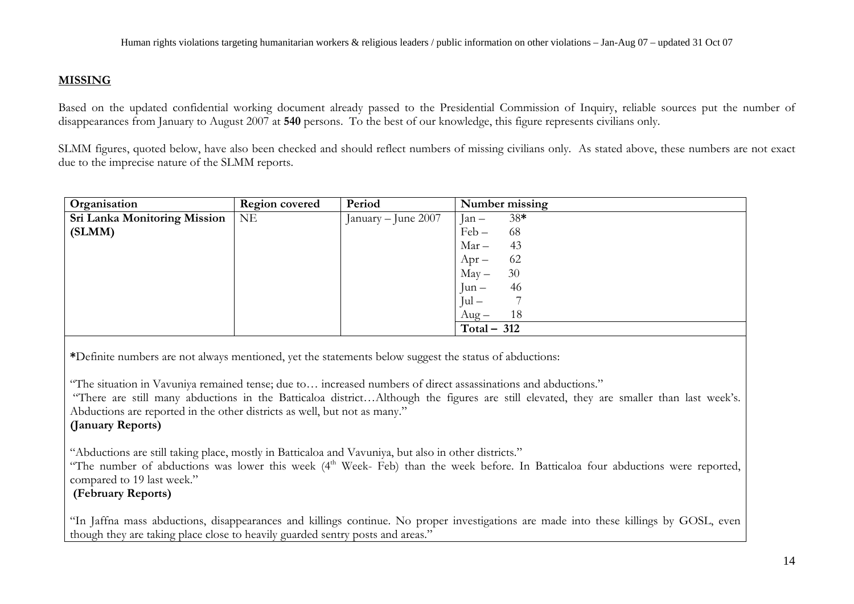### **MISSING**

Based on the updated confidential working document already passed to the Presidential Commission of Inquiry, reliable sources put the number of disappearances from January to August 2007 at **540** persons. To the best of our knowledge, this figure represents civilians only.

SLMM figures, quoted below, have also been checked and should reflect numbers of missing civilians only. As stated above, these numbers are not exact due to the imprecise nature of the SLMM reports.

| Organisation                        | <b>Region covered</b> | Period              | Number missing   |
|-------------------------------------|-----------------------|---------------------|------------------|
| <b>Sri Lanka Monitoring Mission</b> | NE                    | January – June 2007 | $38*$<br>$Jan -$ |
| (SLMM)                              |                       |                     | 68<br>$Feb -$    |
|                                     |                       |                     | $Mar -$<br>43    |
|                                     |                       |                     | 62<br>$Apr-$     |
|                                     |                       |                     | 30<br>$May -$    |
|                                     |                       |                     | 46<br>$Jun -$    |
|                                     |                       |                     | $Jul -$          |
|                                     |                       |                     | 18<br>$Aug -$    |
|                                     |                       |                     | Total $-312$     |

**\***Definite numbers are not always mentioned, yet the statements below suggest the status of abductions:

"The situation in Vavuniya remained tense; due to… increased numbers of direct assassinations and abductions."

 "There are still many abductions in the Batticaloa district…Although the figures are still elevated, they are smaller than last week's. Abductions are reported in the other districts as well, but not as many."

### **(January Reports)**

"Abductions are still taking place, mostly in Batticaloa and Vavuniya, but also in other districts."

"The number of abductions was lower this week (4<sup>th</sup> Week- Feb) than the week before. In Batticaloa four abductions were reported, compared to 19 last week."

### **(February Reports)**

"In Jaffna mass abductions, disappearances and killings continue. No proper investigations are made into these killings by GOSL, even though they are taking place close to heavily guarded sentry posts and areas."